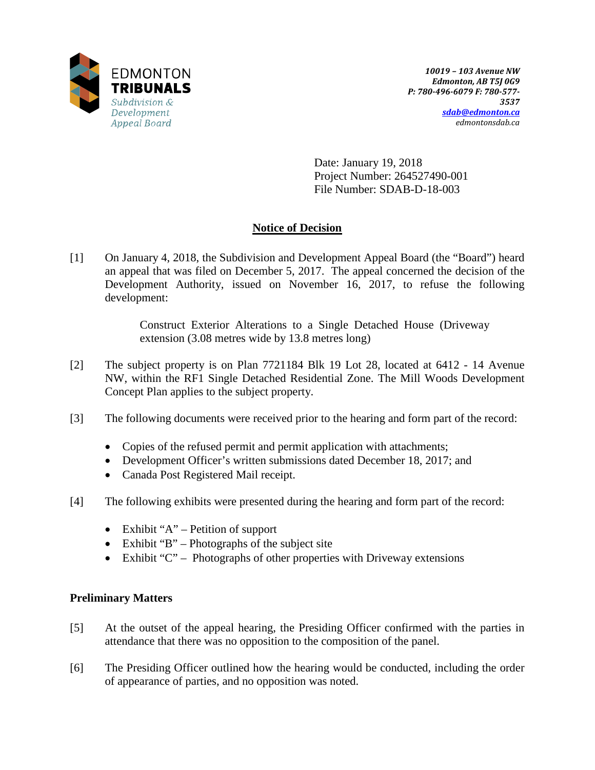

Date: January 19, 2018 Project Number: 264527490-001 File Number: SDAB-D-18-003

# **Notice of Decision**

[1] On January 4, 2018, the Subdivision and Development Appeal Board (the "Board") heard an appeal that was filed on December 5, 2017. The appeal concerned the decision of the Development Authority, issued on November 16, 2017, to refuse the following development:

> Construct Exterior Alterations to a Single Detached House (Driveway extension (3.08 metres wide by 13.8 metres long)

- [2] The subject property is on Plan 7721184 Blk 19 Lot 28, located at 6412 14 Avenue NW, within the RF1 Single Detached Residential Zone. The Mill Woods Development Concept Plan applies to the subject property.
- [3] The following documents were received prior to the hearing and form part of the record:
	- Copies of the refused permit and permit application with attachments;
	- Development Officer's written submissions dated December 18, 2017; and
	- Canada Post Registered Mail receipt.
- [4] The following exhibits were presented during the hearing and form part of the record:
	- Exhibit " $A$ " Petition of support
	- Exhibit "B" Photographs of the subject site
	- Exhibit "C" Photographs of other properties with Driveway extensions

# **Preliminary Matters**

- [5] At the outset of the appeal hearing, the Presiding Officer confirmed with the parties in attendance that there was no opposition to the composition of the panel.
- [6] The Presiding Officer outlined how the hearing would be conducted, including the order of appearance of parties, and no opposition was noted.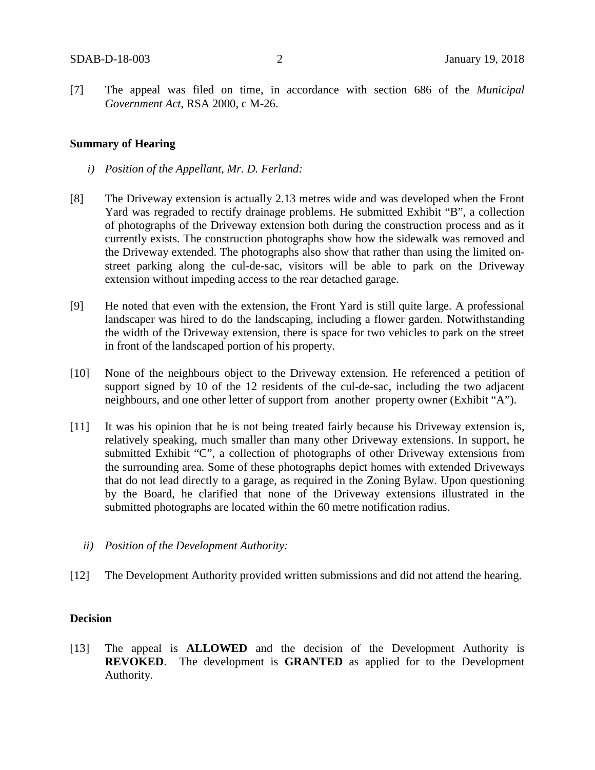[7] The appeal was filed on time, in accordance with section 686 of the *Municipal Government Act*, RSA 2000, c M-26.

#### **Summary of Hearing**

- *i) Position of the Appellant, Mr. D. Ferland:*
- [8] The Driveway extension is actually 2.13 metres wide and was developed when the Front Yard was regraded to rectify drainage problems. He submitted Exhibit "B", a collection of photographs of the Driveway extension both during the construction process and as it currently exists. The construction photographs show how the sidewalk was removed and the Driveway extended. The photographs also show that rather than using the limited onstreet parking along the cul-de-sac, visitors will be able to park on the Driveway extension without impeding access to the rear detached garage.
- [9] He noted that even with the extension, the Front Yard is still quite large. A professional landscaper was hired to do the landscaping, including a flower garden. Notwithstanding the width of the Driveway extension, there is space for two vehicles to park on the street in front of the landscaped portion of his property.
- [10] None of the neighbours object to the Driveway extension. He referenced a petition of support signed by 10 of the 12 residents of the cul-de-sac, including the two adjacent neighbours, and one other letter of support from another property owner (Exhibit "A").
- [11] It was his opinion that he is not being treated fairly because his Driveway extension is, relatively speaking, much smaller than many other Driveway extensions. In support, he submitted Exhibit "C", a collection of photographs of other Driveway extensions from the surrounding area. Some of these photographs depict homes with extended Driveways that do not lead directly to a garage, as required in the Zoning Bylaw. Upon questioning by the Board, he clarified that none of the Driveway extensions illustrated in the submitted photographs are located within the 60 metre notification radius.
	- *ii) Position of the Development Authority:*
- [12] The Development Authority provided written submissions and did not attend the hearing.

#### **Decision**

[13] The appeal is **ALLOWED** and the decision of the Development Authority is **REVOKED**. The development is **GRANTED** as applied for to the Development Authority.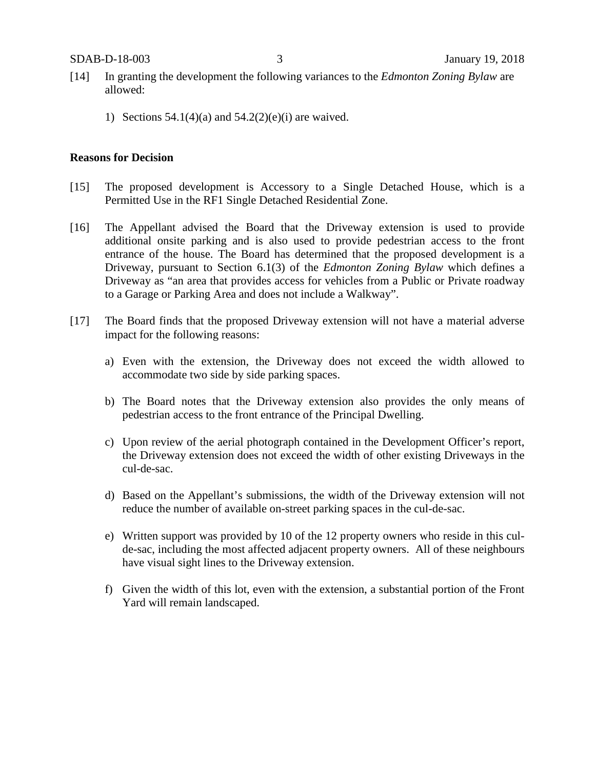- [14] In granting the development the following variances to the *Edmonton Zoning Bylaw* are allowed:
	- 1) Sections  $54.1(4)(a)$  and  $54.2(2)(e)(i)$  are waived.

#### **Reasons for Decision**

- [15] The proposed development is Accessory to a Single Detached House, which is a Permitted Use in the RF1 Single Detached Residential Zone.
- [16] The Appellant advised the Board that the Driveway extension is used to provide additional onsite parking and is also used to provide pedestrian access to the front entrance of the house. The Board has determined that the proposed development is a Driveway, pursuant to Section 6.1(3) of the *Edmonton Zoning Bylaw* which defines a Driveway as "an area that provides access for vehicles from a Public or Private roadway to a Garage or Parking Area and does not include a Walkway".
- [17] The Board finds that the proposed Driveway extension will not have a material adverse impact for the following reasons:
	- a) Even with the extension, the Driveway does not exceed the width allowed to accommodate two side by side parking spaces.
	- b) The Board notes that the Driveway extension also provides the only means of pedestrian access to the front entrance of the Principal Dwelling.
	- c) Upon review of the aerial photograph contained in the Development Officer's report, the Driveway extension does not exceed the width of other existing Driveways in the cul-de-sac.
	- d) Based on the Appellant's submissions, the width of the Driveway extension will not reduce the number of available on-street parking spaces in the cul-de-sac.
	- e) Written support was provided by 10 of the 12 property owners who reside in this culde-sac, including the most affected adjacent property owners. All of these neighbours have visual sight lines to the Driveway extension.
	- f) Given the width of this lot, even with the extension, a substantial portion of the Front Yard will remain landscaped.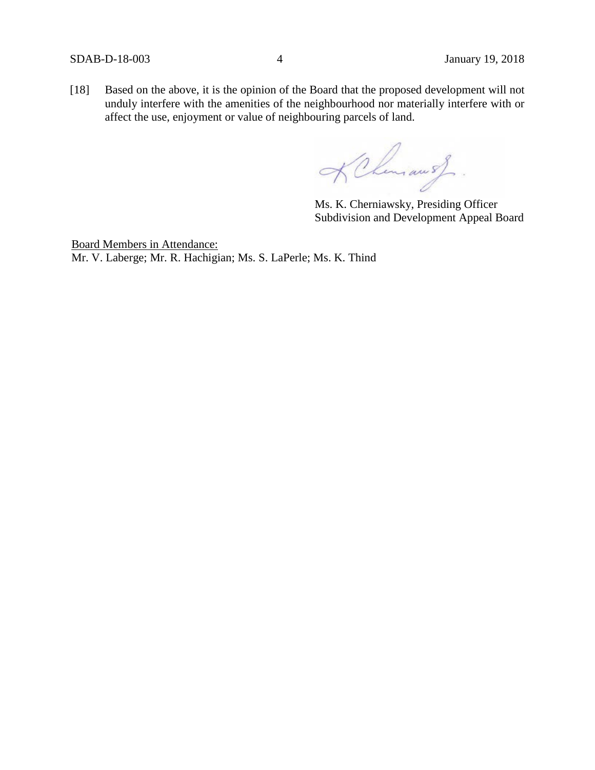[18] Based on the above, it is the opinion of the Board that the proposed development will not unduly interfere with the amenities of the neighbourhood nor materially interfere with or affect the use, enjoyment or value of neighbouring parcels of land.

KChamaust.

Ms. K. Cherniawsky, Presiding Officer Subdivision and Development Appeal Board

Board Members in Attendance: Mr. V. Laberge; Mr. R. Hachigian; Ms. S. LaPerle; Ms. K. Thind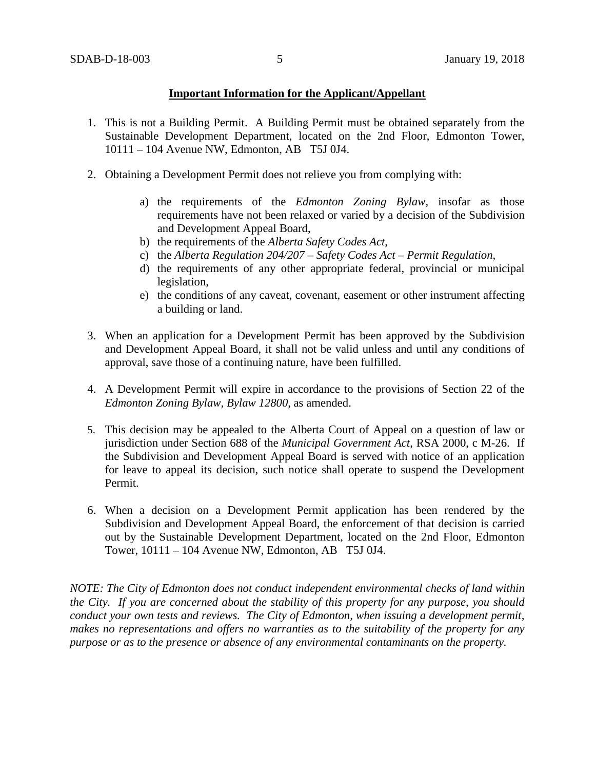### **Important Information for the Applicant/Appellant**

- 1. This is not a Building Permit. A Building Permit must be obtained separately from the Sustainable Development Department, located on the 2nd Floor, Edmonton Tower, 10111 – 104 Avenue NW, Edmonton, AB T5J 0J4.
- 2. Obtaining a Development Permit does not relieve you from complying with:
	- a) the requirements of the *Edmonton Zoning Bylaw*, insofar as those requirements have not been relaxed or varied by a decision of the Subdivision and Development Appeal Board,
	- b) the requirements of the *Alberta Safety Codes Act*,
	- c) the *Alberta Regulation 204/207 – Safety Codes Act – Permit Regulation*,
	- d) the requirements of any other appropriate federal, provincial or municipal legislation,
	- e) the conditions of any caveat, covenant, easement or other instrument affecting a building or land.
- 3. When an application for a Development Permit has been approved by the Subdivision and Development Appeal Board, it shall not be valid unless and until any conditions of approval, save those of a continuing nature, have been fulfilled.
- 4. A Development Permit will expire in accordance to the provisions of Section 22 of the *Edmonton Zoning Bylaw, Bylaw 12800*, as amended.
- 5. This decision may be appealed to the Alberta Court of Appeal on a question of law or jurisdiction under Section 688 of the *Municipal Government Act*, RSA 2000, c M-26. If the Subdivision and Development Appeal Board is served with notice of an application for leave to appeal its decision, such notice shall operate to suspend the Development Permit.
- 6. When a decision on a Development Permit application has been rendered by the Subdivision and Development Appeal Board, the enforcement of that decision is carried out by the Sustainable Development Department, located on the 2nd Floor, Edmonton Tower, 10111 – 104 Avenue NW, Edmonton, AB T5J 0J4.

*NOTE: The City of Edmonton does not conduct independent environmental checks of land within the City. If you are concerned about the stability of this property for any purpose, you should conduct your own tests and reviews. The City of Edmonton, when issuing a development permit, makes no representations and offers no warranties as to the suitability of the property for any purpose or as to the presence or absence of any environmental contaminants on the property.*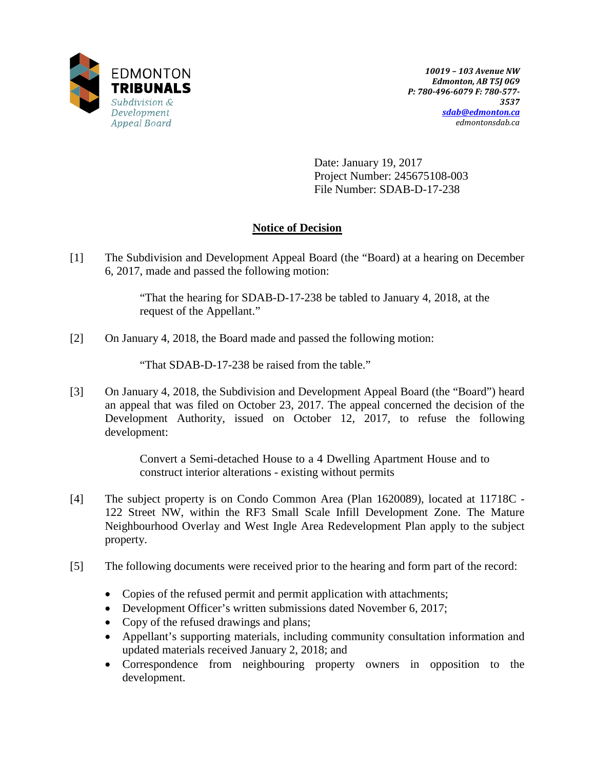

Date: January 19, 2017 Project Number: 245675108-003 File Number: SDAB-D-17-238

# **Notice of Decision**

[1] The Subdivision and Development Appeal Board (the "Board) at a hearing on December 6, 2017, made and passed the following motion:

> "That the hearing for SDAB-D-17-238 be tabled to January 4, 2018, at the request of the Appellant."

[2] On January 4, 2018, the Board made and passed the following motion:

"That SDAB-D-17-238 be raised from the table."

[3] On January 4, 2018, the Subdivision and Development Appeal Board (the "Board") heard an appeal that was filed on October 23, 2017. The appeal concerned the decision of the Development Authority, issued on October 12, 2017, to refuse the following development:

> Convert a Semi-detached House to a 4 Dwelling Apartment House and to construct interior alterations - existing without permits

- [4] The subject property is on Condo Common Area (Plan 1620089), located at 11718C 122 Street NW, within the RF3 Small Scale Infill Development Zone. The Mature Neighbourhood Overlay and West Ingle Area Redevelopment Plan apply to the subject property.
- [5] The following documents were received prior to the hearing and form part of the record:
	- Copies of the refused permit and permit application with attachments;
	- Development Officer's written submissions dated November 6, 2017;
	- Copy of the refused drawings and plans;
	- Appellant's supporting materials, including community consultation information and updated materials received January 2, 2018; and
	- Correspondence from neighbouring property owners in opposition to the development.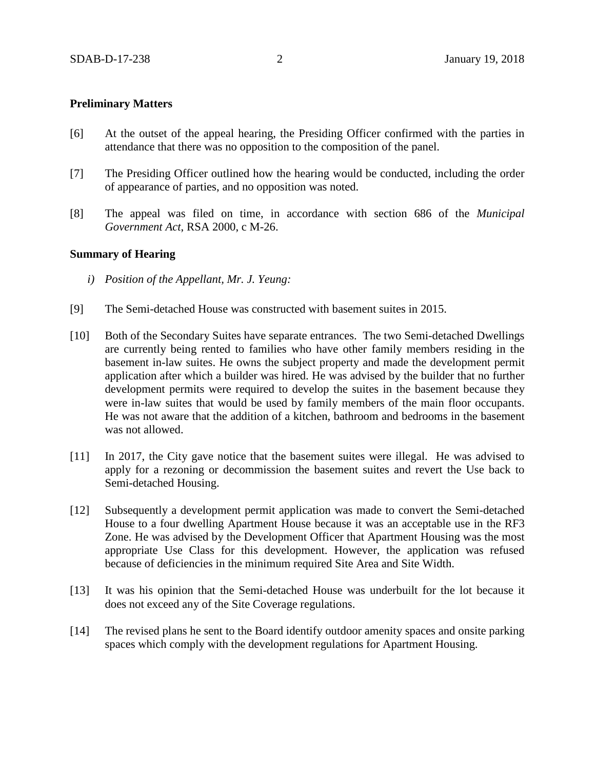### **Preliminary Matters**

- [6] At the outset of the appeal hearing, the Presiding Officer confirmed with the parties in attendance that there was no opposition to the composition of the panel.
- [7] The Presiding Officer outlined how the hearing would be conducted, including the order of appearance of parties, and no opposition was noted.
- [8] The appeal was filed on time, in accordance with section 686 of the *Municipal Government Act*, RSA 2000, c M-26.

#### **Summary of Hearing**

- *i) Position of the Appellant, Mr. J. Yeung:*
- [9] The Semi-detached House was constructed with basement suites in 2015.
- [10] Both of the Secondary Suites have separate entrances. The two Semi-detached Dwellings are currently being rented to families who have other family members residing in the basement in-law suites. He owns the subject property and made the development permit application after which a builder was hired. He was advised by the builder that no further development permits were required to develop the suites in the basement because they were in-law suites that would be used by family members of the main floor occupants. He was not aware that the addition of a kitchen, bathroom and bedrooms in the basement was not allowed.
- [11] In 2017, the City gave notice that the basement suites were illegal. He was advised to apply for a rezoning or decommission the basement suites and revert the Use back to Semi-detached Housing.
- [12] Subsequently a development permit application was made to convert the Semi-detached House to a four dwelling Apartment House because it was an acceptable use in the RF3 Zone. He was advised by the Development Officer that Apartment Housing was the most appropriate Use Class for this development. However, the application was refused because of deficiencies in the minimum required Site Area and Site Width.
- [13] It was his opinion that the Semi-detached House was underbuilt for the lot because it does not exceed any of the Site Coverage regulations.
- [14] The revised plans he sent to the Board identify outdoor amenity spaces and onsite parking spaces which comply with the development regulations for Apartment Housing.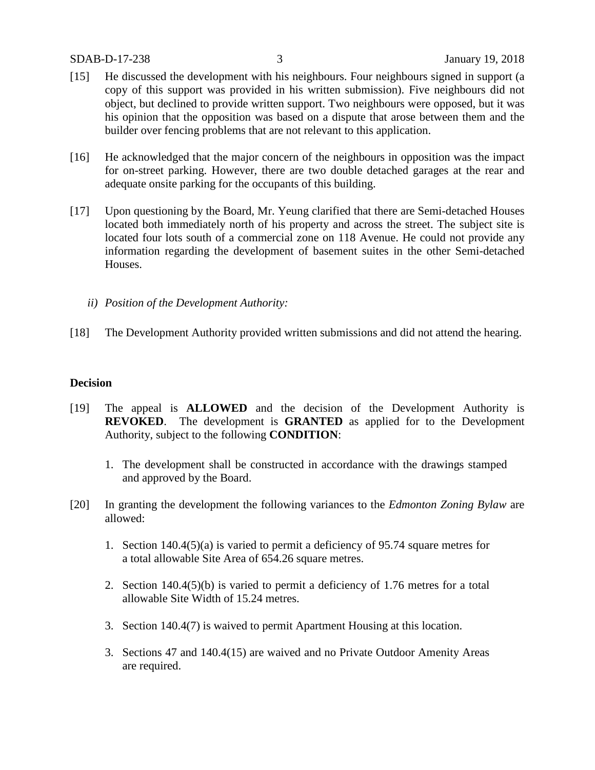#### SDAB-D-17-238 3 January 19, 2018

- [15] He discussed the development with his neighbours. Four neighbours signed in support (a copy of this support was provided in his written submission). Five neighbours did not object, but declined to provide written support. Two neighbours were opposed, but it was his opinion that the opposition was based on a dispute that arose between them and the builder over fencing problems that are not relevant to this application.
- [16] He acknowledged that the major concern of the neighbours in opposition was the impact for on-street parking. However, there are two double detached garages at the rear and adequate onsite parking for the occupants of this building.
- [17] Upon questioning by the Board, Mr. Yeung clarified that there are Semi-detached Houses located both immediately north of his property and across the street. The subject site is located four lots south of a commercial zone on 118 Avenue. He could not provide any information regarding the development of basement suites in the other Semi-detached Houses.
	- *ii) Position of the Development Authority:*
- [18] The Development Authority provided written submissions and did not attend the hearing.

# **Decision**

- [19] The appeal is **ALLOWED** and the decision of the Development Authority is **REVOKED**. The development is **GRANTED** as applied for to the Development Authority, subject to the following **CONDITION**:
	- 1. The development shall be constructed in accordance with the drawings stamped and approved by the Board.
- [20] In granting the development the following variances to the *Edmonton Zoning Bylaw* are allowed:
	- 1. Section 140.4(5)(a) is varied to permit a deficiency of 95.74 square metres for a total allowable Site Area of 654.26 square metres.
	- 2. Section 140.4(5)(b) is varied to permit a deficiency of 1.76 metres for a total allowable Site Width of 15.24 metres.
	- 3. Section 140.4(7) is waived to permit Apartment Housing at this location.
	- 3. Sections 47 and 140.4(15) are waived and no Private Outdoor Amenity Areas are required.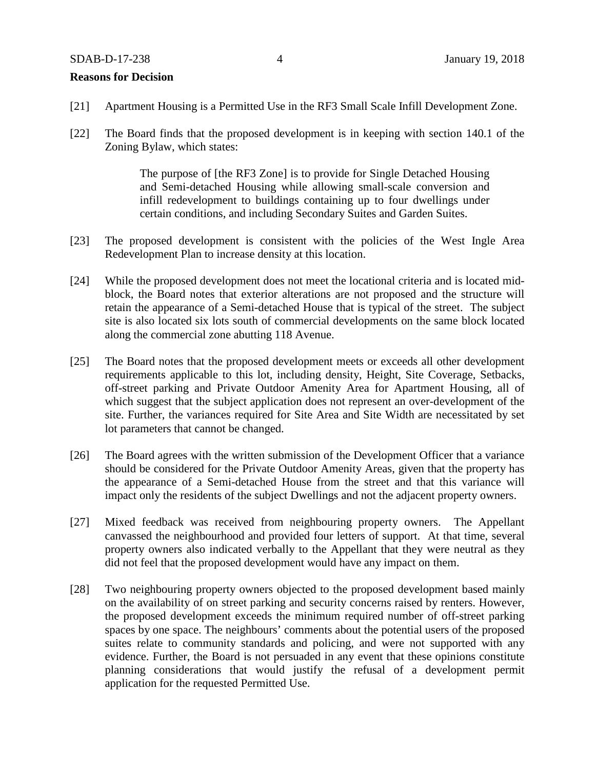#### SDAB-D-17-238 4 January 19, 2018

#### **Reasons for Decision**

- [21] Apartment Housing is a Permitted Use in the RF3 Small Scale Infill Development Zone.
- [22] The Board finds that the proposed development is in keeping with section 140.1 of the Zoning Bylaw, which states:

The purpose of [the RF3 Zone] is to provide for Single Detached Housing and Semi-detached Housing while allowing small-scale conversion and infill redevelopment to buildings containing up to four dwellings under certain conditions, and including Secondary Suites and Garden Suites.

- [23] The proposed development is consistent with the policies of the West Ingle Area Redevelopment Plan to increase density at this location.
- [24] While the proposed development does not meet the locational criteria and is located midblock, the Board notes that exterior alterations are not proposed and the structure will retain the appearance of a Semi-detached House that is typical of the street. The subject site is also located six lots south of commercial developments on the same block located along the commercial zone abutting 118 Avenue.
- [25] The Board notes that the proposed development meets or exceeds all other development requirements applicable to this lot, including density, Height, Site Coverage, Setbacks, off-street parking and Private Outdoor Amenity Area for Apartment Housing, all of which suggest that the subject application does not represent an over-development of the site. Further, the variances required for Site Area and Site Width are necessitated by set lot parameters that cannot be changed.
- [26] The Board agrees with the written submission of the Development Officer that a variance should be considered for the Private Outdoor Amenity Areas, given that the property has the appearance of a Semi-detached House from the street and that this variance will impact only the residents of the subject Dwellings and not the adjacent property owners.
- [27] Mixed feedback was received from neighbouring property owners. The Appellant canvassed the neighbourhood and provided four letters of support. At that time, several property owners also indicated verbally to the Appellant that they were neutral as they did not feel that the proposed development would have any impact on them.
- [28] Two neighbouring property owners objected to the proposed development based mainly on the availability of on street parking and security concerns raised by renters. However, the proposed development exceeds the minimum required number of off-street parking spaces by one space. The neighbours' comments about the potential users of the proposed suites relate to community standards and policing, and were not supported with any evidence. Further, the Board is not persuaded in any event that these opinions constitute planning considerations that would justify the refusal of a development permit application for the requested Permitted Use.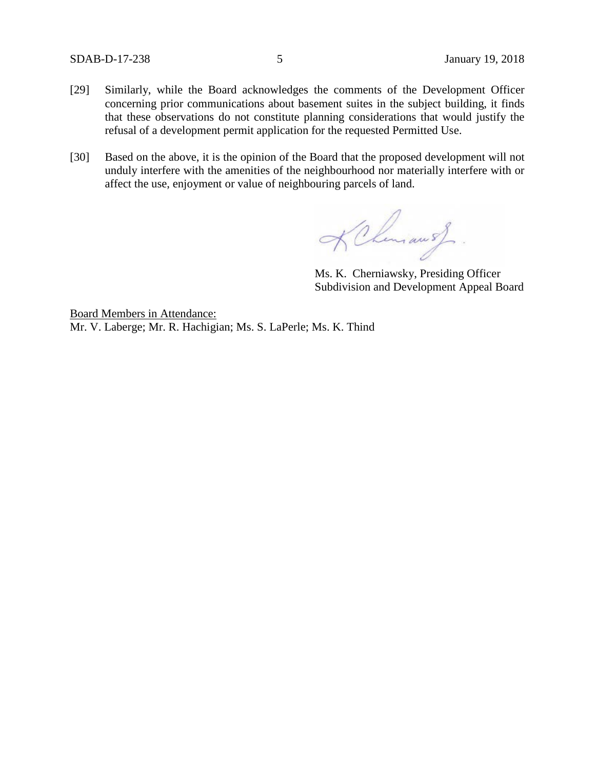SDAB-D-17-238 5 January 19, 2018

- [29] Similarly, while the Board acknowledges the comments of the Development Officer concerning prior communications about basement suites in the subject building, it finds that these observations do not constitute planning considerations that would justify the refusal of a development permit application for the requested Permitted Use.
- [30] Based on the above, it is the opinion of the Board that the proposed development will not unduly interfere with the amenities of the neighbourhood nor materially interfere with or affect the use, enjoyment or value of neighbouring parcels of land.

KChmansf.

Ms. K. Cherniawsky, Presiding Officer Subdivision and Development Appeal Board

Board Members in Attendance: Mr. V. Laberge; Mr. R. Hachigian; Ms. S. LaPerle; Ms. K. Thind